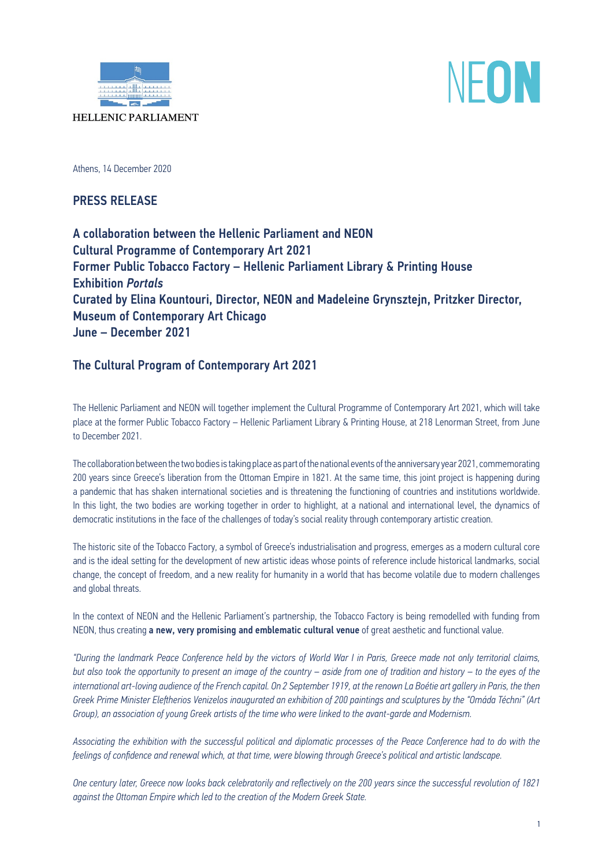



Athens, 14 December 2020

PRESS RELEASE

A collaboration between the Hellenic Parliament and ΝΕΟΝ Cultural Programme of Contemporary Art 2021 Former Public Tobacco Factory – Hellenic Parliament Library & Printing House Exhibition *Portals* Curated by Elina Kountouri, Director, ΝΕΟΝ and Madeleine Grynsztejn, Pritzker Director, Museum of Contemporary Art Chicago June – December 2021

# The Cultural Program of Contemporary Art 2021

The Hellenic Parliament and NEON will together implement the Cultural Programme of Contemporary Art 2021, which will take place at the former Public Tobacco Factory – Hellenic Parliament Library & Printing House, at 218 Lenorman Street, from June to December 2021.

The collaboration between the two bodies is taking place as part of the national events of the anniversary year 2021, commemorating 200 years since Greece's liberation from the Ottoman Empire in 1821. At the same time, this joint project is happening during a pandemic that has shaken international societies and is threatening the functioning of countries and institutions worldwide. In this light, the two bodies are working together in order to highlight, at a national and international level, the dynamics of democratic institutions in the face of the challenges of today's social reality through contemporary artistic creation.

The historic site of the Tobacco Factory, a symbol of Greece's industrialisation and progress, emerges as a modern cultural core and is the ideal setting for the development of new artistic ideas whose points of reference include historical landmarks, social change, the concept of freedom, and a new reality for humanity in a world that has become volatile due to modern challenges and global threats.

In the context of NEON and the Hellenic Parliament's partnership, the Tobacco Factory is being remodelled with funding from NEON, thus creating a new, very promising and emblematic cultural venue of great aesthetic and functional value.

*"During the landmark Peace Conference held by the victors of World War I in Paris, Greece made not only territorial claims, but also took the opportunity to present an image of the country – aside from one of tradition and history – to the eyes of the international art-loving audience of the French capital. On 2 September 1919, at the renown La Boétie art gallery in Paris, the then Greek Prime Minister Eleftherios Venizelos inaugurated an exhibition of 200 paintings and sculptures by the "Omáda Téchni" (Art Group), an association of young Greek artists of the time who were linked to the avant-garde and Modernism.* 

*Associating the exhibition with the successful political and diplomatic processes of the Peace Conference had to do with the feelings of confidence and renewal which, at that time, were blowing through Greece's political and artistic landscape.* 

*One century later, Greece now looks back celebratorily and reflectively on the 200 years since the successful revolution of 1821 against the Ottoman Empire which led to the creation of the Modern Greek State.*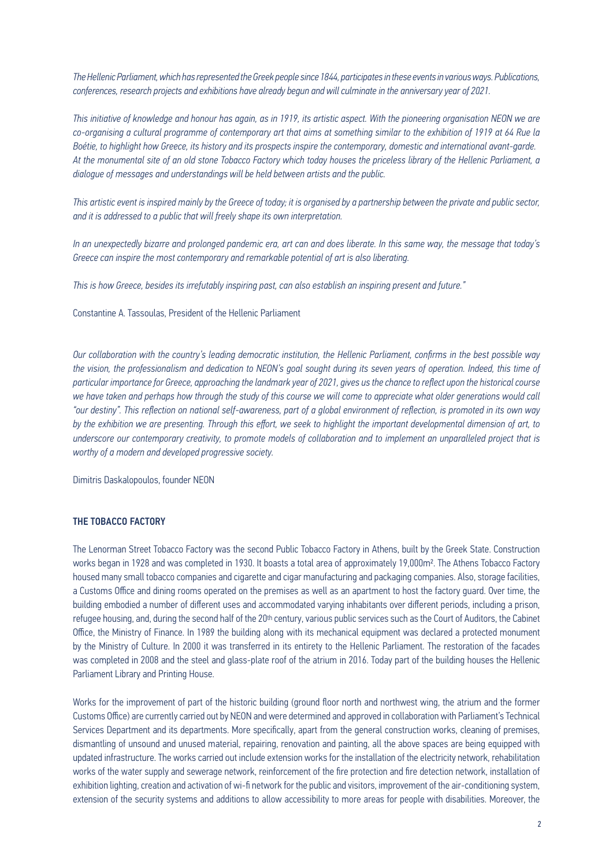*The Hellenic Parliament, which has represented the Greek people since 1844, participates in these events in various ways. Publications, conferences, research projects and exhibitions have already begun and will culminate in the anniversary year of 2021.* 

*This initiative of knowledge and honour has again, as in 1919, its artistic aspect. With the pioneering organisation NEON we are co-organising a cultural programme of contemporary art that aims at something similar to the exhibition of 1919 at 64 Rue la Boétie, to highlight how Greece, its history and its prospects inspire the contemporary, domestic and international avant-garde. At the monumental site of an old stone Tobacco Factory which today houses the priceless library of the Hellenic Parliament, a dialogue of messages and understandings will be held between artists and the public.* 

*This artistic event is inspired mainly by the Greece of today; it is organised by a partnership between the private and public sector, and it is addressed to a public that will freely shape its own interpretation.* 

*In an unexpectedly bizarre and prolonged pandemic era, art can and does liberate. In this same way, the message that today's Greece can inspire the most contemporary and remarkable potential of art is also liberating.* 

*This is how Greece, besides its irrefutably inspiring past, can also establish an inspiring present and future."*

Constantine A. Tassoulas, President of the Hellenic Parliament

*Our collaboration with the country's leading democratic institution, the Hellenic Parliament, confirms in the best possible way the vision, the professionalism and dedication to NEON's goal sought during its seven years of operation. Indeed, this time of particular importance for Greece, approaching the landmark year of 2021, gives us the chance to reflect upon the historical course we have taken and perhaps how through the study of this course we will come to appreciate what older generations would call "our destiny". This reflection on national self-awareness, part of a global environment of reflection, is promoted in its own way by the exhibition we are presenting. Through this effort, we seek to highlight the important developmental dimension of art, to underscore our contemporary creativity, to promote models of collaboration and to implement an unparalleled project that is worthy of a modern and developed progressive society.*

Dimitris Daskalopoulos, founder NEON

### THE TOBACCO FACTORY

The Lenorman Street Tobacco Factory was the second Public Tobacco Factory in Athens, built by the Greek State. Construction works began in 1928 and was completed in 1930. It boasts a total area of approximately 19,000m2. The Athens Tobacco Factory housed many small tobacco companies and cigarette and cigar manufacturing and packaging companies. Also, storage facilities, a Customs Office and dining rooms operated on the premises as well as an apartment to host the factory guard. Over time, the building embodied a number of different uses and accommodated varying inhabitants over different periods, including a prison, refugee housing, and, during the second half of the 20<sup>th</sup> century, various public services such as the Court of Auditors, the Cabinet Office, the Ministry of Finance. In 1989 the building along with its mechanical equipment was declared a protected monument by the Ministry of Culture. In 2000 it was transferred in its entirety to the Hellenic Parliament. The restoration of the facades was completed in 2008 and the steel and glass-plate roof of the atrium in 2016. Today part of the building houses the Hellenic Parliament Library and Printing House.

Works for the improvement of part of the historic building (ground floor north and northwest wing, the atrium and the former Customs Office) are currently carried out by NEON and were determined and approved in collaboration with Parliament's Technical Services Department and its departments. More specifically, apart from the general construction works, cleaning of premises, dismantling of unsound and unused material, repairing, renovation and painting, all the above spaces are being equipped with updated infrastructure. The works carried out include extension works for the installation of the electricity network, rehabilitation works of the water supply and sewerage network, reinforcement of the fire protection and fire detection network, installation of exhibition lighting, creation and activation of wi-fi network for the public and visitors, improvement of the air-conditioning system, extension of the security systems and additions to allow accessibility to more areas for people with disabilities. Moreover, the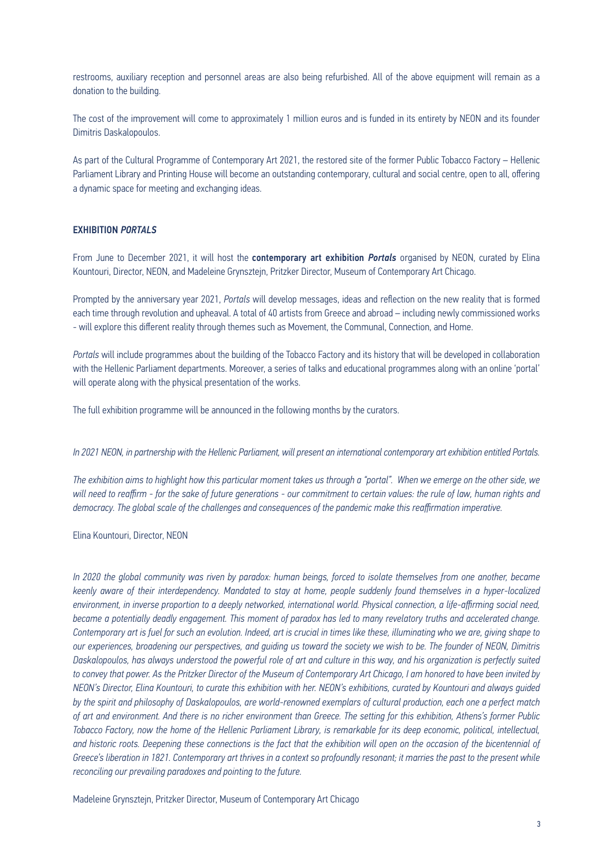restrooms, auxiliary reception and personnel areas are also being refurbished. All of the above equipment will remain as a donation to the building.

The cost of the improvement will come to approximately 1 million euros and is funded in its entirety by NEON and its founder Dimitris Daskalopoulos.

As part of the Cultural Programme of Contemporary Art 2021, the restored site of the former Public Tobacco Factory – Hellenic Parliament Library and Printing House will become an outstanding contemporary, cultural and social centre, open to all, offering a dynamic space for meeting and exchanging ideas.

### EXHIBITION *PORTALS*

From June to December 2021, it will host the contemporary art exhibition *Portals* organised by NEON, curated by Elina Kountouri, Director, NEON, and Madeleine Grynsztejn, Pritzker Director, Museum of Contemporary Art Chicago.

Prompted by the anniversary year 2021, *Portals* will develop messages, ideas and reflection on the new reality that is formed each time through revolution and upheaval. A total of 40 artists from Greece and abroad – including newly commissioned works - will explore this different reality through themes such as Movement, the Communal, Connection, and Home.

*Portals* will include programmes about the building of the Tobacco Factory and its history that will be developed in collaboration with the Hellenic Parliament departments. Moreover, a series of talks and educational programmes along with an online 'portal' will operate along with the physical presentation of the works.

The full exhibition programme will be announced in the following months by the curators.

#### *In 2021 NEON, in partnership with the Hellenic Parliament, will present an international contemporary art exhibition entitled Portals.*

*The exhibition aims to highlight how this particular moment takes us through a "portal". When we emerge on the other side, we will need to reaffirm - for the sake of future generations - our commitment to certain values: the rule of law, human rights and democracy. The global scale of the challenges and consequences of the pandemic make this reaffirmation imperative.*

Elina Kountouri, Director, NEON

*In 2020 the global community was riven by paradox: human beings, forced to isolate themselves from one another, became keenly aware of their interdependency. Mandated to stay at home, people suddenly found themselves in a hyper-localized environment, in inverse proportion to a deeply networked, international world. Physical connection, a life-affirming social need, became a potentially deadly engagement. This moment of paradox has led to many revelatory truths and accelerated change. Contemporary art is fuel for such an evolution. Indeed, art is crucial in times like these, illuminating who we are, giving shape to our experiences, broadening our perspectives, and guiding us toward the society we wish to be. The founder of NEON, Dimitris Daskalopoulos, has always understood the powerful role of art and culture in this way, and his organization is perfectly suited to convey that power. As the Pritzker Director of the Museum of Contemporary Art Chicago, I am honored to have been invited by NEON's Director, Elina Kountouri, to curate this exhibition with her. NEON's exhibitions, curated by Kountouri and always guided by the spirit and philosophy of Daskalopoulos, are world-renowned exemplars of cultural production, each one a perfect match of art and environment. And there is no richer environment than Greece. The setting for this exhibition, Athens's former Public Tobacco Factory, now the home of the Hellenic Parliament Library, is remarkable for its deep economic, political, intellectual,*  and historic roots. Deepening these connections is the fact that the exhibition will open on the occasion of the bicentennial of *Greece's liberation in 1821. Contemporary art thrives in a context so profoundly resonant; it marries the past to the present while reconciling our prevailing paradoxes and pointing to the future.*

Madeleine Grynsztejn, Pritzker Director, Museum of Contemporary Art Chicago